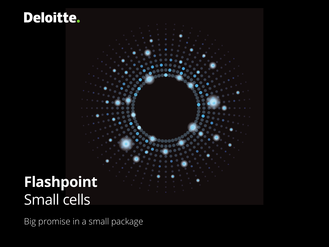### Deloitte.

# **Flashpoint** Small cells

Big promise in a small package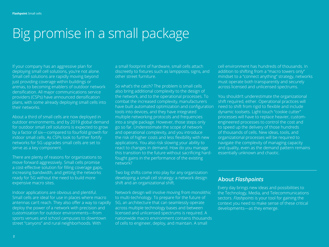## Big promise in a small package

If your company has an aggressive plan for deploying small cell solutions, you're not alone. Small cell solutions are rapidly moving beyond just providing coverage within buildings or arenas, to becoming enablers of outdoor network densification. All major communications service providers (CSPs) have announced densification plans, with some already deploying small cells into their networks.

About a third of small cells are now deployed in outdoor environments, and by 2019 global demand for outdoor small cell solutions is expected to grow by a factor of six—compared to fourfold growth for indoor small cells. As CSPs look to further fortify networks for 5G upgrades small cells are set to serve as a key component.

There are plenty of reasons for organizations to move forward aggressively. Small cells promise a cost-effective solution for filling coverage gaps, increasing bandwidth, and getting the networks ready for 5G without the need to build more expensive macro sites.

Indoor applications are obvious and plentiful. Small cells are ideal for use in places where macro antennas can't reach. They also offer a way to rapidly deploy the power of a network with precision and customization for outdoor environments—from sports venues and school campuses to downtown street "canyons" and rural neighborhoods. With

a small footprint of hardware, small cells attach discreetly to fixtures such as lampposts, signs, and other street furniture.

So what's the catch? The problem is small cells also bring additional complexity to the design of the network, and to the operational processes. To combat the increased complexity, manufacturers have built automated optimization and configuration tools into devices, and they have integrated multiple networking protocols and frequencies into a single package. However, those steps only go so far. Underestimate the scope of network and operational complexity, and you introduce the risk of higher costs and less flexibility with new applications. You also risk slowing your ability to react to changes in demand. How do you manage this transition to the future without sacrificing hardfought gains in the performance of the existing network?

Two big shifts come into play for any organization developing a small cell strategy: a network design shift and an organizational shift.

Network design will involve moving from monolithic to multi-technology. To prepare for the future of 5G, an architecture that can seamlessly operate across multiple technology bases and between licensed and unlicensed spectrums is required. A nationwide macro environment contains thousands of cells to engineer, deploy, and maintain. A small

cell environment has hundreds of thousands. In addition to shifting from a "macro towers only" mindset to a "connect anything" strategy, networks must operate both transparently and securely across licensed and unlicensed spectrums.

You shouldn't underestimate the organizational shift required, either. Operational practices will need to shift from rigid to flexible and include dynamic toolsets. Light-touch "cookie cutter" processes will have to replace heavier, customengineered processes to control the cost and to speed up the delivery of those hundreds of thousands of cells. New ideas, tools, and organizational processes will be required to navigate the complexity of managing capacity and quality, even as the demand pattern remains essentially unknown and chaotic.

### **About** *Flashpoints*

Every day brings new ideas and possibilities to the Technology, Media, and Telecommunications sectors. *Flashpoints* is your tool for gaining the context you need to make sense of these critical developments—as they emerge.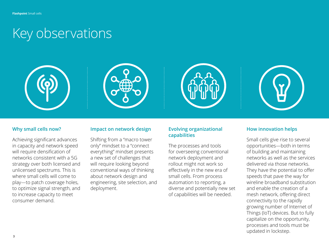### Key observations









#### **Why small cells now?**

Achieving significant advances in capacity and network speed will require densification of networks consistent with a 5G strategy over both licensed and unlicensed spectrums. This is where small cells will come to play—to patch coverage holes, to optimize signal strength, and to increase capacity to meet consumer demand.

#### **Impact on network design**

Shifting from a "macro tower only" mindset to a "connect everything" mindset presents a new set of challenges that will require looking beyond conventional ways of thinking about network design and engineering, site selection, and deployment.

#### **Evolving organizational capabilities**

The processes and tools for overseeing conventional network deployment and rollout might not work so effectively in the new era of small cells. From process automation to reporting, a diverse and potentially new set of capabilities will be needed.

#### **How innovation helps**

Small cells give rise to several opportunities—both in terms of building and maintaining networks as well as the services delivered via those networks. They have the potential to offer speeds that pave the way for wireline broadband substitution and enable the creation of a mesh network, offering direct connectivity to the rapidly growing number of Internet of Things (IoT) devices. But to fully capitalize on the opportunity, processes and tools must be updated in lockstep.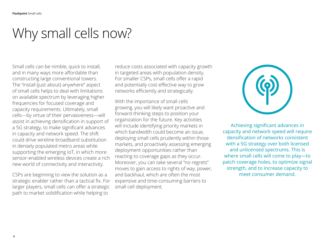### Why small cells now?

Small cells can be nimble, quick to install, and in many ways more affordable than constructing large conventional towers. The "install (just about) anywhere" aspect of small cells helps to deal with limitations on available spectrum by leveraging higher frequencies for focused coverage and capacity requirements. Ultimately, small cells—by virtue of their pervasiveness—will assist in achieving densification in support of a 5G strategy, to make significant advances in capacity and network speed. The shift could drive wireline broadband substitution in densely populated metro areas while supporting the emerging IoT, in which more sensor-enabled wireless devices create a rich new world of connectivity and interactivity.

CSPs are beginning to view the solution as a strategic enabler rather than a tactical fix. For larger players, small cells can offer a strategic path to market solidification while helping to

reduce costs associated with capacity growth in targeted areas with population density. For smaller CSPs, small cells offer a rapid and potentially cost-effective way to grow networks efficiently and strategically.

With the importance of small cells growing, you will likely want proactive and forward-thinking steps to position your organization for the future. Key activities will include identifying priority markets in which bandwidth could become an issue, deploying small cells prudently within those markets, and proactively assessing emerging deployment opportunities rather than reacting to coverage gaps as they occur. Moreover, you can take several "no regrets" moves to gain access to rights of way, power, and backhaul, which are often the most expensive and time-consuming barriers to small cell deployment.



Achieving significant advances in capacity and network speed will require densification of networks consistent with a 5G strategy over both licensed and unlicensed spectrums. This is where small cells will come to play—to patch coverage holes, to optimize signal strength, and to increase capacity to meet consumer demand.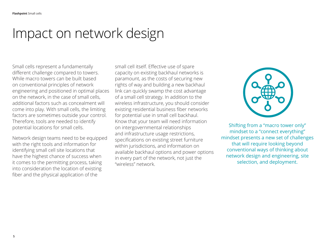### Impact on network design

Small cells represent a fundamentally different challenge compared to towers. While macro towers can be built based on conventional principles of network engineering and positioned in optimal places on the network, in the case of small cells, additional factors such as concealment will come into play. With small cells, the limiting factors are sometimes outside your control. Therefore, tools are needed to identify potential locations for small cells.

Network design teams need to be equipped with the right tools and information for identifying small cell site locations that have the highest chance of success when it comes to the permitting process, taking into consideration the location of existing fiber and the physical application of the

small cell itself. Effective use of spare capacity on existing backhaul networks is paramount, as the costs of securing new rights of way and building a new backhaul link can quickly swamp the cost advantage of a small cell strategy. In addition to the wireless infrastructure, you should consider existing residential business fiber networks for potential use in small cell backhaul. Know that your team will need information on intergovernmental relationships and infrastructure usage restrictions, specifications on existing street furniture within jurisdictions, and information on available backhaul options and power options in every part of the network, not just the "wireless" network.



Shifting from a "macro tower only" mindset to a "connect everything" mindset presents a new set of challenges that will require looking beyond conventional ways of thinking about network design and engineering, site selection, and deployment.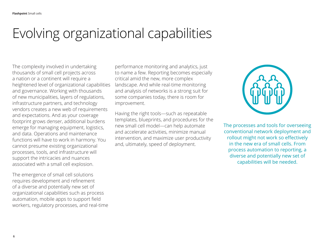### Evolving organizational capabilities

The complexity involved in undertaking thousands of small cell projects across a nation or a continent will require a heightened level of organizational capabilities and governance. Working with thousands of new municipalities, layers of regulations, infrastructure partners, and technology vendors creates a new web of requirements and expectations. And as your coverage footprint grows denser, additional burdens emerge for managing equipment, logistics, and data. Operations and maintenance functions will have to work in harmony. You cannot presume existing organizational processes, tools, and infrastructure will support the intricacies and nuances associated with a small cell explosion.

The emergence of small cell solutions requires development and refinement of a diverse and potentially new set of organizational capabilities such as process automation, mobile apps to support field workers, regulatory processes, and real-time

performance monitoring and analytics, just to name a few. Reporting becomes especially critical amid the new, more complex landscape. And while real-time monitoring and analysis of networks is a strong suit for some companies today, there is room for improvement.

Having the right tools—such as repeatable templates, blueprints, and procedures for the new small cell model—can help automate and accelerate activities, minimize manual intervention, and maximize user productivity and, ultimately, speed of deployment.



The processes and tools for overseeing conventional network deployment and rollout might not work so effectively in the new era of small cells. From process automation to reporting, a diverse and potentially new set of capabilities will be needed.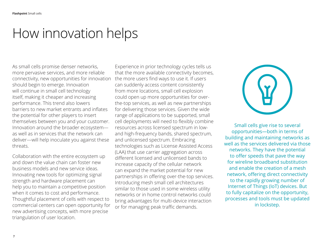### How innovation helps

As small cells promise denser networks, more pervasive services, and more reliable connectivity, new opportunities for innovation should begin to emerge. Innovation will continue in small cell technology itself, making it cheaper and increasing performance. This trend also lowers barriers to new market entrants and inflates the potential for other players to insert themselves between you and your customer. Innovation around the broader ecosystem as well as in services that the network can deliver—will help inoculate you against these threats.

Collaboration with the entire ecosystem up and down the value chain can foster new business models and new service ideas. Innovating new tools for optimizing signal strength and hardware placement can help you to maintain a competitive position when it comes to cost and performance. Thoughtful placement of cells with respect to commercial centers can open opportunity for new advertising concepts, with more precise triangulation of user location.

Experience in prior technology cycles tells us that the more available connectivity becomes, the more users find ways to use it. If users can suddenly access content consistently from more locations, small cell explosion could open up more opportunities for overthe-top services, as well as new partnerships for delivering those services. Given the wide range of applications to be supported, small cell deployments will need to flexibly combine resources across licensed spectrum in lowand high-frequency bands, shared spectrum, and unlicensed spectrum. Embracing technologies such as License Assisted Access (LAA) that use carrier aggregation across different licensed and unlicensed bands to increase capacity of the cellular network can expand the market potential for new partnerships in offering over-the-top services. Introducing mesh small cell architectures similar to those used in some wireless utility networks or in home control networks could bring advantages for multi-device interaction or for managing peak traffic demands.



Small cells give rise to several opportunities—both in terms of building and maintaining networks as well as the services delivered via those networks. They have the potential to offer speeds that pave the way for wireline broadband substitution and enable the creation of a mesh network, offering direct connectivity to the rapidly growing number of Internet of Things (IoT) devices. But to fully capitalize on the opportunity, processes and tools must be updated in lockstep.